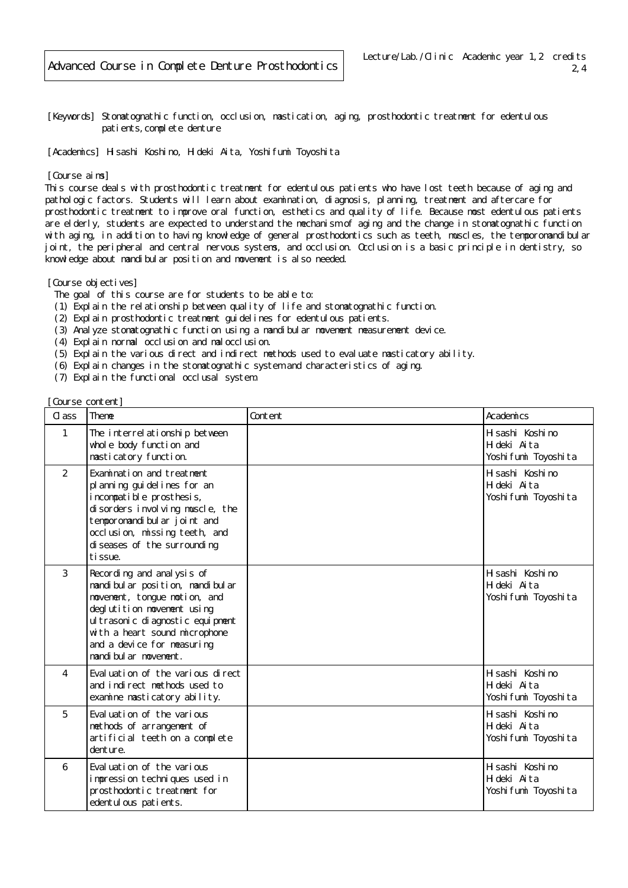[Keywords] Stomatognathic function, occlusion, mastication, aging, prosthodontic treatment for edentulous patients, complete denture

[Academics] Hisashi Koshino, Hideki Aita, Yoshifumi Toyoshita

## [Course aims]

This course deals with prosthodontic treatment for edentulous patients who have lost teeth because of aging and pathologic factors. Students will learn about examination, diagnosis, planning, treatment and aftercare for prosthodontic treatment to improve oral function, esthetics and quality of life. Because most edentulous patients are elderly, students are expected to understand the mechanism of aging and the change in stomatognathic function with aging, in addition to having knowledge of general prosthodontics such as teeth, muscles, the temporomandibular joint, the peripheral and central nervous systems, and occlusion. Occlusion is a basic principle in dentistry, so knowledge about mandibular position and movement is also needed.

[Course objectives]

- The goal of this course are for students to be able to:
- (1) Explain the relationship between quality of life and stomatognathic function.
- (2) Explain prosthodontic treatment guidelines for edentulous patients.
- (3) Analyze stomatognathic function using a mandibular movement measurement device.
- (4) Explain normal occlusion and malocclusion.
- (5) Explain the various direct and indirect methods used to evaluate masticatory ability.
- (6) Explain changes in the stomatognathic system and characteristics of aging.
- (7) Explain the functional occlusal system.

## [Course content]

| Cl ass         | Theme                                                                                                                                                                                                                                                               | Content | Academics                                                 |
|----------------|---------------------------------------------------------------------------------------------------------------------------------------------------------------------------------------------------------------------------------------------------------------------|---------|-----------------------------------------------------------|
| $\mathbf{1}$   | The interrel ationship between<br>whole body function and<br>masticatory function.                                                                                                                                                                                  |         | H sashi Koshi no<br>Hi deki Aita<br>Yoshi fumi Toyoshi ta |
| $\overline{2}$ | Examination and treatment<br>pl anni ng gui del i nes for an<br>incompatible prosthesis,<br>di sorders i nvol ving muscle, the<br>tempor omandi bul ar j oi nt and<br>occlusion, missing teeth, and<br>di seases of the surrounding<br>ti ssue.                     |         | H sashi Koshi no<br>Hideki Aita<br>Yoshi fumi Toyoshi ta  |
| 3              | Recording and anal ysis of<br>mandi bul ar position, mandi bul ar<br>novement, tongue notion, and<br>degl uti ti on movement using<br>ul trasoni c di agnosti c equi pment<br>with a heart sound microphone<br>and a device for measuring<br>mandi bul ar movement. |         | H sashi Koshi no<br>Hideki Aita<br>Yoshi fumi Toyoshi ta  |
| 4              | Eval uation of the various direct<br>and indirect methods used to<br>examine masticatory ability.                                                                                                                                                                   |         | H sashi Koshi no<br>Hi deki Aita<br>Yoshi fumi Toyoshi ta |
| 5              | Eval uation of the various<br>methods of arrangement of<br>artificial teeth on a complete<br>denture.                                                                                                                                                               |         | H sashi Koshi no<br>Hi deki Aita<br>Yoshi fumi Toyoshi ta |
| 6              | Evaluation of the various<br>impression techniques used in<br>prosthodontic treatment for<br>edentul ous pati ents.                                                                                                                                                 |         | H sashi Koshi no<br>Hi deki Aita<br>Yoshi fumi Toyoshi ta |